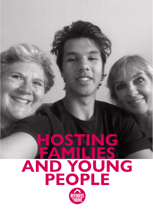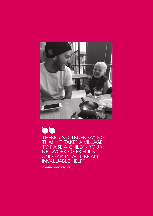

THERE'S NO TRUER SAYING THAN 'IT TAKES A VILLAGE TO RAISE A CHILD' - YOUR NETWORK OF FRIENDS AND FAMILY WILL BE AN INVALUABLE HELP" THERE THAN TO RA

**JONATHAN AND RACHEL**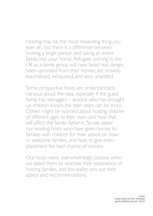Hosting may be the most rewarding thing you ever do, but there is a diference between hosting a single person and taking an entire family into your home. Refugees coming to the UK as a family group will have faced real danger, been uprooted from their homes, are possibly traumatised, exhausted, and very unsettled.

Some prospective hosts are understandably nervous about the idea, especially if the guest family has teenagers – anyone who has brought up children knows the teen years can be tricky. Others might be worried about hosting children of diferent ages to their own, and how that will afect the family dynamic. So we asked our existing hosts who have given homes to families with children for their advice on how to welcome families, and how to give every placement the best chance of success.

Our hosts were overwhelmingly positive when we asked them to describe their experience of hosting families, and this leaflet sets out their advice and recommendations.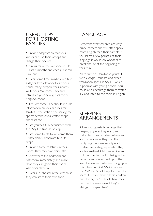### USEFUL TIPS FOR HOSTING FAMILIES

• Provide adaptors so that your guests can use their laptops and charge their phones.

• Ask us for a free Vodaphone SIM – lasts 6 months and each guest can have one.

• Clear some time, maybe even take a day or two off work to get your house ready, prepare their rooms, write your Welcome Pack and introduce your new guests to the neighbourhood.

• The Welcome Pack should include information on local facilities for families – the station, the library, the sports centre, clubs, coffee shops, chemists etc.

• Get yourself fully acquainted with the "Say Hi" translation app.

• Get some treats to welcome them – fizzy drinks, chocolate biscuits, crisps.

• Provide some toiletries in their room. They may have very little.

• Show them the bedroom and bathroom immediately and make clear they can go to their room whenever they like.

• Clear a cupboard in the kitchen so they can store their own food.

# LANGUAGE

Remember that children are very quick learners and will often speak more English than their parents. If you learnt a few phrases of their language it would do wonders to break the ice at the beginning of their stay.

Make sure you familiarise yourself with Google Translate and other translation apps like Say Hi, which is popular with young people. You could also encourage them to watch TV and listen to the radio in English.

## SI FFPING ARRANGEMENTS

Allow your guests to arrange their sleeping any way they want, and make clear they can sleep whenever and for as long as they like. The family might not necessarily want to sleep separately, especially if they are traumatised. Children in different cultures may be used to being in the same room or even bed up to the age of seven and older — though you might bear in mind NSPCC advice that "While it's not illegal for them to share, it's recommended that children over the age of 10 should have their own bedrooms – even if they're siblings or step-siblings".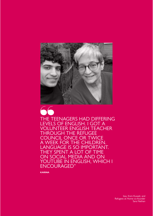

THE TEENAGERS HAD DIFFERING LEVELS OF ENGLISH. I GOT A VOLUNTEER ENGLISH TEACHER THROUGH THE REFUGEE COUNCIL ONCE OR TWICE A WEEK FOR THE CHILDREN. LANGUAGE IS SO IMPORTANT. THEY SPENT A LOT OF TIME ON SOCIAL MEDIA AND ON YOUTUBE IN ENGLISH, WHICH I ENCOURAGED" ACT OF STREET

**KARINA**

Issa, from Kuwait, and Refugees at Home co-founder Sara Nathan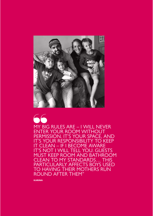

66

MY BIG RULES ARE – I WILL NEVER ENTER YOUR ROOM WITHOUT PERMISSION. IT'S YOUR SPACE, AND IT'S YOUR RESPONSIBILITY TO KEEP IT CLEAN – IF I BECOME AWARE IT'S NOT I WILL TELL YOU. GUESTS MUST KEEP ROOM AND BATHROOM CLEAN TO MY STANDARDS… THIS PARTICULARLY AFFECTS BOYS USED TO HAVING THEIR MOTHERS RUN ROUND AFTER THEM"

**KARINA**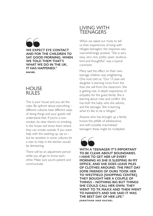

### **HOUSE** RULES

This is your house and you set the rules. Be upfront about everything – different cultures have different ways of doing things and your guests will understand that. If you're a nonsmoker, be clear there's no smoking in the house and show them where they can smoke outside. If you want help with the washing up, say so  $$ but be sensitive: in some cultures for a man to help in the kitchen would be demeaning.

There will be an adjustment period while you all get to know each other. Make sure you're patient and communicate.

### LIVING WITH **TEENAGERS**

When we asked our hosts to tell us their experiences of living with refugee teenagers, the response was overwhelmingly positive. "She is very easy, very nice, polite, quiet, studious, kind and thoughtful," was a typical comment.

Many said the effect on their own teenage children was enlightening. One host told us: "Our 17-year-old daughter is learning more from this than she will from the classroom. She is getting real, in-depth experience of empathy for the guest family. She is learning about rules and conflict. She has both the baby, who she adores, and the teenager. She is learning what it's like to be a refugee."

Anyone who has brought up a family knows the pitfalls of adolescence, and with possibly traumatised teenagers these might be multiplied.



**WITH A TEENAGER IT'S IMPORTANT TO BE CLEAR ABOUT BOUNDARIES. I HAVE TO GET HER UP EVERY MORNING AS SHE IS SLEEPING IN MY OFFICE, AND SHE DOES LEAVE PILES OF CLOTHES AROUND. THE FIRST DAY SOME FRIENDS OF OURS TOOK HER TO WESTFIELD [SHOPPING CENTRE]. THEY BOUGHT HER A COUPLE OF THINGS – NOTHING BIG BUT THINGS SHE COULD CALL HER OWN. THEY WENT TO TK MAXX AND THEN WENT TO NANDO'S AND SHE SAID IT WAS THE BEST DAY OF HER LIFE." JONATHAN AND RACHEL** "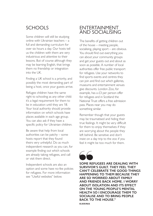## **SCHOOLS**

Some children will still be studying online with Ukrainian teachers – a full and demanding curriculum for over six hours a day. Our hosts tell us the children with them are very industrious and attentive to their lessons. But of course although they may be learning English, that brings them no friendship or integration into the UK.

Finding a UK school is a priority, and possibly the most demanding part of being a host, once your guests arrive.

Refugee children have the same right to schooling as any other child: it's a legal requirement for them to be in education until they are 18. Your local authority should provide information on which schools have places available in each age group. You can also ask if they have a specific policy for Ukrainian children.

Be aware that help from local authorities can be patchy – some hosts report that they found theirs very unhelpful. Do as much independent research as you can, for example finding out which schools are already taking refugees, and call or visit them direct.

Independent schools are also an option and some have no-fee policies for refugees. For more information see "Useful websites" below.

## ENTERTAINMENT AND SOCIALISING

The benefits of getting children out of the house – meeting people, socialising, playing sport – are obvious. You should find out everything you can about your community groups and get your guests out and about as soon as possible. A number of local authorities offer free public transport for refugees. Use your networks to find sports events and centres they can join and find out which galleries, museums and entertainment venues give discounts. London Zoo, for example, has a  $£3$  per person offer for refugees and in Scotland the National Trust offers a free admission pass. Places near you may do something similar.

Remember though that your guests may be traumatised and hiding their true feelings. It might be very difficult for them to enjoy themselves if they are worrying about the people they left behind. Be sensitive and don't insist on a day trip to the zoo if you feel it might be too much for them.

**SOME REFUGEES ARE DEALING WITH SURVIVOR'S GUILT. THEY FEEL THEY CAN'T CELEBRATE THE GOOD THINGS HAPPENING TO THEM BECAUSE THEY ARE SO WORRIED ABOUT FAMILY AND FRIENDS BACK HOME. I WORRY ABOUT ISOLATION AND ITS EFFECT ON THE YOUNG PEOPLE'S MENTAL HEALTH SO I ENCOURAGE THEM TO SOCIALISE AND TO BRING PEOPLE BACK TO THE HOUSE." KARINA** SOME REI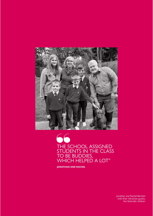

THE SCHOOL ASSIGNED STUDENTS IN THE CLASS TO BE BUDDIES, CONTRACT CONSIGNED<br>
THE SCHOOL ASSIGNED<br>
STUDENTS IN THE CLAS<br>
TO BE BUDDIES,<br>
WHICH HELPED A LOT"

**JONATHAN AND RACHEL**

Jonathan and Rachel Bartlett with their Ukrainian guests, the Stelmakh children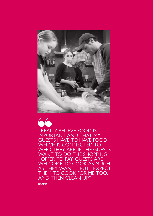



I REALLY BELIEVE FOOD IS IMPORTANT AND THAT MY GUESTS HAVE TO HAVE FOOD WHICH IS CONNECTED TO WHO THEY ARE. IF THE GUESTS WANT TO DO THE SHOPPING, I OFFER TO PAY. GUESTS ARE WELCOME TO COOK AS MUCH AS THEY WANT – BUT I EXPECT THEM TO COOK FOR ME TOO. AND THEN CLEAN UP"

**KARINA**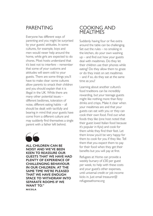## PARENTING

Everyone has different ways of parenting and you might be surprised by your guests' attitudes. In some cultures, for example, boys and men would never help around the home, while girls are expected to do chores. Most hosts understand that it's best not to interfere – remember that some of your customs and attitudes will seem odd to your guests. There are some things you'll have to make clear: some cultures allow parents to smack their children and you should explain that it is illegal in the UK. While there are many other potential issues – different bedtimes, toleration of noise, different eating habits – all should be dealt with tactfully and bearing in mind that your guests have come from a different culture and may suddenly find themselves a single parent with a father left behind.



ALL CHIL<br>
NOISY AN<br>
KEEN TO<br>
GUESTS 1<br>
PLENTY ( **ALL CHILDREN CAN BE NOISY AND WE'VE BEEN KEEN TO REASSURE OUR GUESTS THAT WE HAVE HAD PLENTY OF EXPERIENCE OF CHALLENGING BEHAVIOUR IN OUR CHILDREN. AT THE SAME TIME WE'RE PLEASED THAT WE HAVE ENOUGH SPACE TO WITHDRAW INTO SEPARATE ROOMS IF WE WANT TO." NICOLA**

### COOKING AND MEALTIMES

Suddenly having four or five extra around the table can be challenging. Set out the rules – no smoking in the kitchen, do your own washing up – and find out how your guests deal with mealtimes. Do they let their children use their phones while eating? Do they allow them to graze or do they insist on set mealtimes – and if so, do they eat at the same time as you?

Learning about another culture's food traditions can be incredibly rewarding, but your teenage guests might like nothing more than fizzy drinks and crisps. Make it clear when your mealtimes are and that your guests can eat with you or they can cook their own food. Find out what foods they like (one host noted that their guest loved Italian food because it's popular in Kyiv) and cook for them while they find their feet. Let them know you'd be very happy for them to cook for you if they like. Tell them that you expect them to pay for their food when they get their benefits but you will pay at first.

Refugees at Home can provide a weekly bursary of £30 per guest per week, to help with these costs and your guest's other expenses, until universal credit or job income kicks in. Just email treasurer@ refugeesathome.org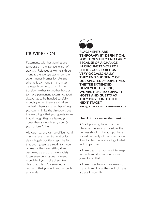## MOVING ON

Placements with host families are temporary – the average length of stay with Refugees at Home is three months; the average stay under the government's Homes for Ukraine scheme is six months – and must necessarily come to an end. The transition (either to another host or to more permanent accommodation) always has to be handled carefully, especially when there are children involved. There are a number of ways you can minimise the disruption, but the key thing is that your guests know that although they are leaving your house they are not leaving your (and your children's) life.

Although parting can be difficult (and in some rare cases, traumatic), it's also a hugely positive step. The fact that your guests are ready to move on means they are settling down, becoming a part of a new society. It can even be a joyous moment, especially if you make absolutely clear that this isn't a severing of relations, that you will keep in touch as friends.



**PLACEMENTS ARE TEMPORARY BY DEFINITION. SOMETIMES THEY END EARLY BECAUSE OF A CHANGE IN CIRCUMSTANCES FOR EITHER GUEST OR HOST, VERY OCCASIONALLY THEY END SUDDENLY OR UNEXPECTEDLY; SOMETIMES THEY'RE EXTENDED. HOWEVER THEY END, WE ARE HERE TO SUPPORT HOSTS AND GUESTS AS THEY MOVE ON TO THEIR NEXT STAGE." AREEJ, PLACEMENT COORDINATOR** PLACEME<br>TEMPORA<br>SOMETIM<br>BECAUSE<br>IN CIRCU

#### Useful tips for easing the transition

• Start planning the end of the placement as soon as possible: the process shouldn't be abrupt; there should be plenty of discussion about it and a clear understanding of what will happen next.

• Make clear that you want to keep in touch and discuss how you're going to do that.

• Make dates before they leave, so that children know they will still have a place in your life.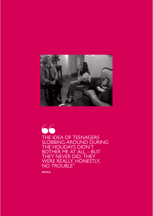

THE IDEA OF TEENAGERS SLOBBING AROUND DURING THE HOLIDAYS DIDN'T BOTHER ME AT ALL – BUT THEY NEVER DID. THEY WERE REALLY, HONESTLY, NO TROUBLE" 66

**NICOLA**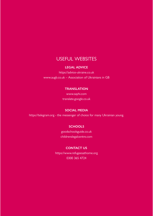## USEFUL WEBSITES

#### **LEGAL ADVICE**

https://advice-ukraine.co.uk www.augb.co.uk – Association of Ukrainians in GB

### **TRANSLATION**

www.sayhi.com translate.google.co.uk

### **SOCIAL MEDIA**

https://telegram.org - the messenger of choice for many Ukrainian young.

### **SCHOOLS**

goodschoolsguide.co.uk childrenslegalcentre.com

#### **CONTACT US**

https://www.refugeesathome.org 0300 365 4724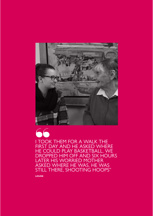

I TOOK THEM FOR A WALK THE FIRST DAY AND HE ASKED WHERE HE COULD PLAY BASKETBALL. WE DROPPED HIM OFF AND SIX HOURS LATER HIS WORRIED MOTHER ASKED WHERE HE WAS. HE WAS STILL THERE, SHOOTING HOOPS" 66

**LOUISE**